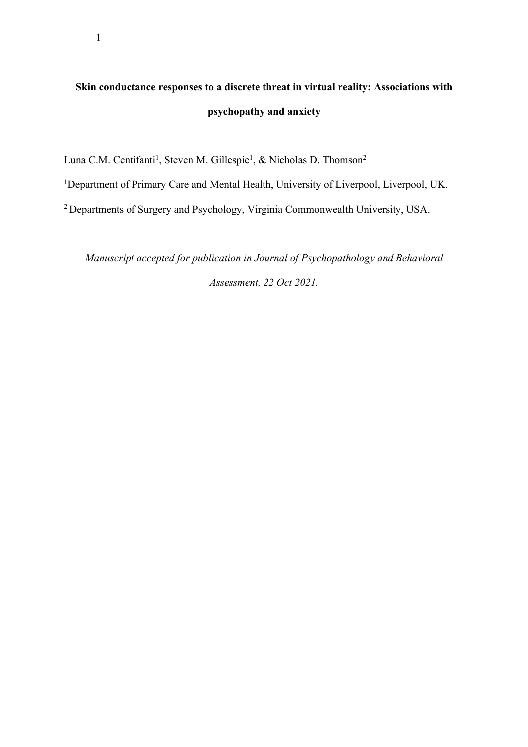# **Skin conductance responses to a discrete threat in virtual reality: Associations with psychopathy and anxiety**

Luna C.M. Centifanti<sup>1</sup>, Steven M. Gillespie<sup>1</sup>, & Nicholas D. Thomson<sup>2</sup>

1

<sup>1</sup>Department of Primary Care and Mental Health, University of Liverpool, Liverpool, UK.

2 Departments of Surgery and Psychology, Virginia Commonwealth University, USA.

*Manuscript accepted for publication in Journal of Psychopathology and Behavioral Assessment, 22 Oct 2021.*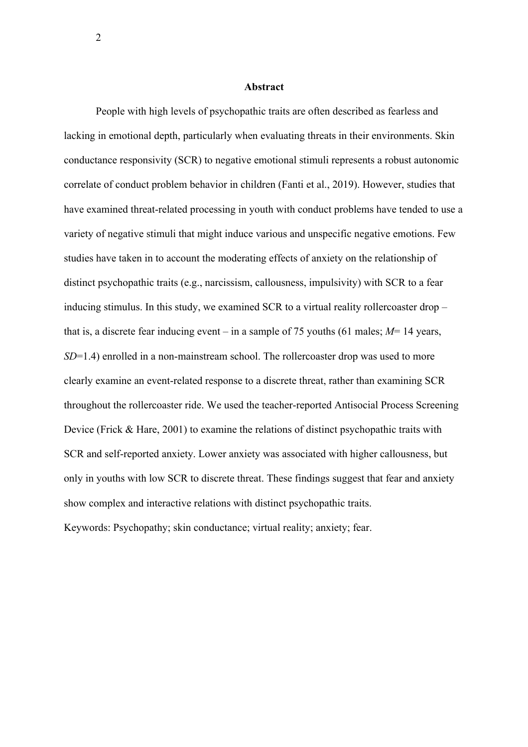#### **Abstract**

People with high levels of psychopathic traits are often described as fearless and lacking in emotional depth, particularly when evaluating threats in their environments. Skin conductance responsivity (SCR) to negative emotional stimuli represents a robust autonomic correlate of conduct problem behavior in children (Fanti et al., 2019). However, studies that have examined threat-related processing in youth with conduct problems have tended to use a variety of negative stimuli that might induce various and unspecific negative emotions. Few studies have taken in to account the moderating effects of anxiety on the relationship of distinct psychopathic traits (e.g., narcissism, callousness, impulsivity) with SCR to a fear inducing stimulus. In this study, we examined SCR to a virtual reality rollercoaster drop – that is, a discrete fear inducing event – in a sample of 75 youths (61 males; *M*= 14 years, *SD*=1.4) enrolled in a non-mainstream school. The rollercoaster drop was used to more clearly examine an event-related response to a discrete threat, rather than examining SCR throughout the rollercoaster ride. We used the teacher-reported Antisocial Process Screening Device (Frick & Hare, 2001) to examine the relations of distinct psychopathic traits with SCR and self-reported anxiety. Lower anxiety was associated with higher callousness, but only in youths with low SCR to discrete threat. These findings suggest that fear and anxiety show complex and interactive relations with distinct psychopathic traits. Keywords: Psychopathy; skin conductance; virtual reality; anxiety; fear.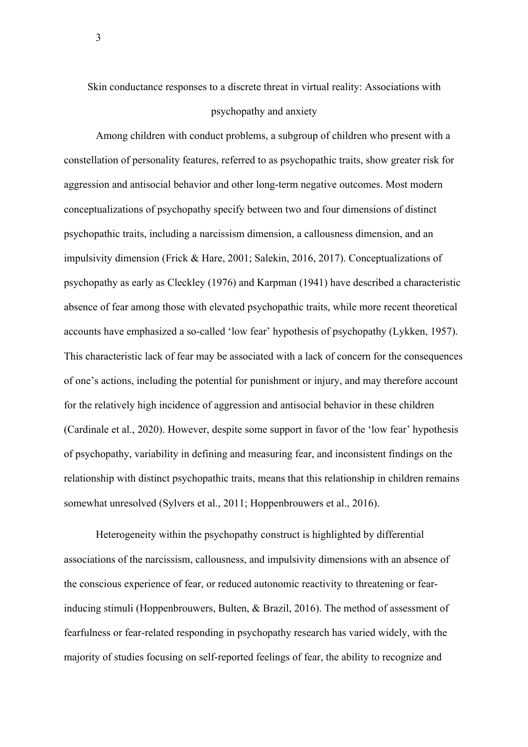Skin conductance responses to a discrete threat in virtual reality: Associations with

#### psychopathy and anxiety

Among children with conduct problems, a subgroup of children who present with a constellation of personality features, referred to as psychopathic traits, show greater risk for aggression and antisocial behavior and other long-term negative outcomes. Most modern conceptualizations of psychopathy specify between two and four dimensions of distinct psychopathic traits, including a narcissism dimension, a callousness dimension, and an impulsivity dimension (Frick & Hare, 2001; Salekin, 2016, 2017). Conceptualizations of psychopathy as early as Cleckley (1976) and Karpman (1941) have described a characteristic absence of fear among those with elevated psychopathic traits, while more recent theoretical accounts have emphasized a so-called 'low fear' hypothesis of psychopathy (Lykken, 1957). This characteristic lack of fear may be associated with a lack of concern for the consequences of one's actions, including the potential for punishment or injury, and may therefore account for the relatively high incidence of aggression and antisocial behavior in these children (Cardinale et al., 2020). However, despite some support in favor of the 'low fear' hypothesis of psychopathy, variability in defining and measuring fear, and inconsistent findings on the relationship with distinct psychopathic traits, means that this relationship in children remains somewhat unresolved (Sylvers et al., 2011; Hoppenbrouwers et al., 2016).

Heterogeneity within the psychopathy construct is highlighted by differential associations of the narcissism, callousness, and impulsivity dimensions with an absence of the conscious experience of fear, or reduced autonomic reactivity to threatening or fearinducing stimuli (Hoppenbrouwers, Bulten, & Brazil, 2016). The method of assessment of fearfulness or fear-related responding in psychopathy research has varied widely, with the majority of studies focusing on self-reported feelings of fear, the ability to recognize and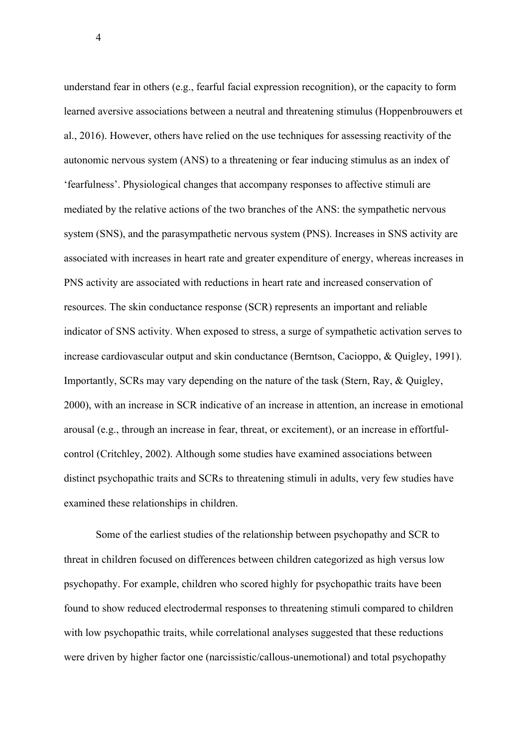understand fear in others (e.g., fearful facial expression recognition), or the capacity to form learned aversive associations between a neutral and threatening stimulus (Hoppenbrouwers et al., 2016). However, others have relied on the use techniques for assessing reactivity of the autonomic nervous system (ANS) to a threatening or fear inducing stimulus as an index of 'fearfulness'. Physiological changes that accompany responses to affective stimuli are mediated by the relative actions of the two branches of the ANS: the sympathetic nervous system (SNS), and the parasympathetic nervous system (PNS). Increases in SNS activity are associated with increases in heart rate and greater expenditure of energy, whereas increases in PNS activity are associated with reductions in heart rate and increased conservation of resources. The skin conductance response (SCR) represents an important and reliable indicator of SNS activity. When exposed to stress, a surge of sympathetic activation serves to increase cardiovascular output and skin conductance (Berntson, Cacioppo, & Quigley, 1991). Importantly, SCRs may vary depending on the nature of the task (Stern, Ray, & Quigley, 2000), with an increase in SCR indicative of an increase in attention, an increase in emotional arousal (e.g., through an increase in fear, threat, or excitement), or an increase in effortfulcontrol (Critchley, 2002). Although some studies have examined associations between distinct psychopathic traits and SCRs to threatening stimuli in adults, very few studies have examined these relationships in children.

Some of the earliest studies of the relationship between psychopathy and SCR to threat in children focused on differences between children categorized as high versus low psychopathy. For example, children who scored highly for psychopathic traits have been found to show reduced electrodermal responses to threatening stimuli compared to children with low psychopathic traits, while correlational analyses suggested that these reductions were driven by higher factor one (narcissistic/callous-unemotional) and total psychopathy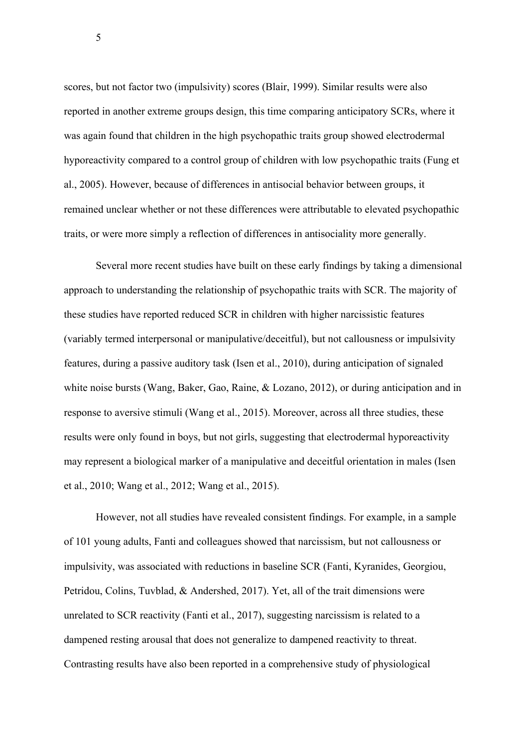scores, but not factor two (impulsivity) scores (Blair, 1999). Similar results were also reported in another extreme groups design, this time comparing anticipatory SCRs, where it was again found that children in the high psychopathic traits group showed electrodermal hyporeactivity compared to a control group of children with low psychopathic traits (Fung et al., 2005). However, because of differences in antisocial behavior between groups, it remained unclear whether or not these differences were attributable to elevated psychopathic traits, or were more simply a reflection of differences in antisociality more generally.

Several more recent studies have built on these early findings by taking a dimensional approach to understanding the relationship of psychopathic traits with SCR. The majority of these studies have reported reduced SCR in children with higher narcissistic features (variably termed interpersonal or manipulative/deceitful), but not callousness or impulsivity features, during a passive auditory task (Isen et al., 2010), during anticipation of signaled white noise bursts (Wang, Baker, Gao, Raine, & Lozano, 2012), or during anticipation and in response to aversive stimuli (Wang et al., 2015). Moreover, across all three studies, these results were only found in boys, but not girls, suggesting that electrodermal hyporeactivity may represent a biological marker of a manipulative and deceitful orientation in males (Isen et al., 2010; Wang et al., 2012; Wang et al., 2015).

However, not all studies have revealed consistent findings. For example, in a sample of 101 young adults, Fanti and colleagues showed that narcissism, but not callousness or impulsivity, was associated with reductions in baseline SCR (Fanti, Kyranides, Georgiou, Petridou, Colins, Tuvblad, & Andershed, 2017). Yet, all of the trait dimensions were unrelated to SCR reactivity (Fanti et al., 2017), suggesting narcissism is related to a dampened resting arousal that does not generalize to dampened reactivity to threat. Contrasting results have also been reported in a comprehensive study of physiological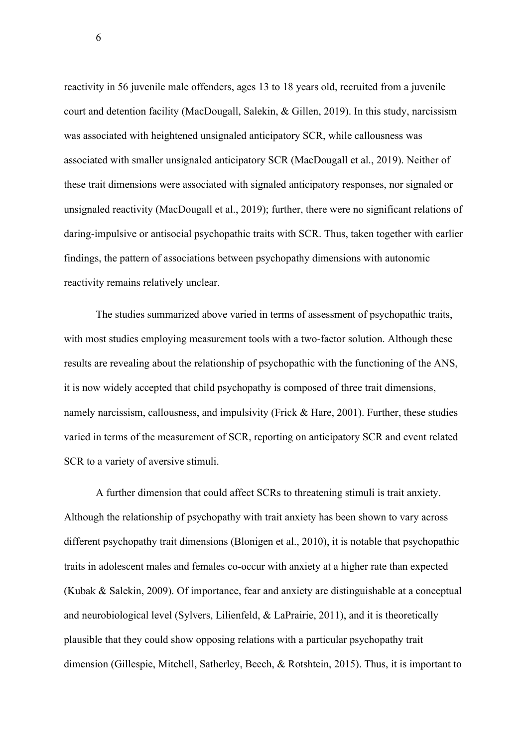reactivity in 56 juvenile male offenders, ages 13 to 18 years old, recruited from a juvenile court and detention facility (MacDougall, Salekin, & Gillen, 2019). In this study, narcissism was associated with heightened unsignaled anticipatory SCR, while callousness was associated with smaller unsignaled anticipatory SCR (MacDougall et al., 2019). Neither of these trait dimensions were associated with signaled anticipatory responses, nor signaled or unsignaled reactivity (MacDougall et al., 2019); further, there were no significant relations of daring-impulsive or antisocial psychopathic traits with SCR. Thus, taken together with earlier findings, the pattern of associations between psychopathy dimensions with autonomic reactivity remains relatively unclear.

The studies summarized above varied in terms of assessment of psychopathic traits, with most studies employing measurement tools with a two-factor solution. Although these results are revealing about the relationship of psychopathic with the functioning of the ANS, it is now widely accepted that child psychopathy is composed of three trait dimensions, namely narcissism, callousness, and impulsivity (Frick & Hare, 2001). Further, these studies varied in terms of the measurement of SCR, reporting on anticipatory SCR and event related SCR to a variety of aversive stimuli.

A further dimension that could affect SCRs to threatening stimuli is trait anxiety. Although the relationship of psychopathy with trait anxiety has been shown to vary across different psychopathy trait dimensions (Blonigen et al., 2010), it is notable that psychopathic traits in adolescent males and females co-occur with anxiety at a higher rate than expected (Kubak & Salekin, 2009). Of importance, fear and anxiety are distinguishable at a conceptual and neurobiological level (Sylvers, Lilienfeld, & LaPrairie, 2011), and it is theoretically plausible that they could show opposing relations with a particular psychopathy trait dimension (Gillespie, Mitchell, Satherley, Beech, & Rotshtein, 2015). Thus, it is important to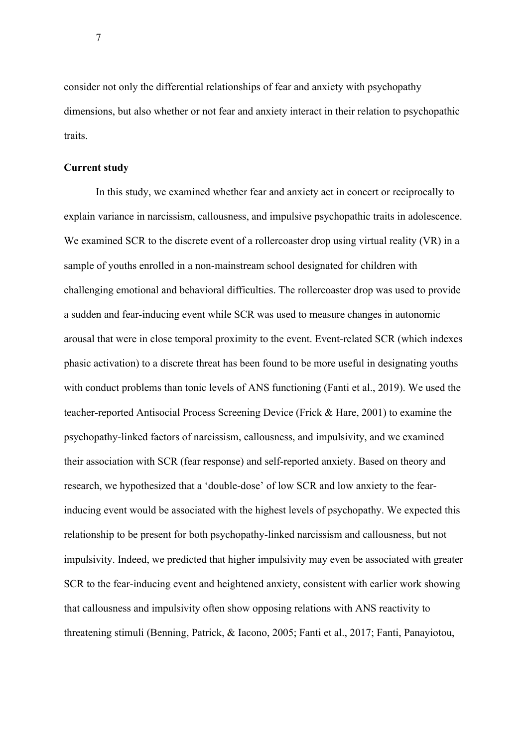consider not only the differential relationships of fear and anxiety with psychopathy dimensions, but also whether or not fear and anxiety interact in their relation to psychopathic traits.

### **Current study**

In this study, we examined whether fear and anxiety act in concert or reciprocally to explain variance in narcissism, callousness, and impulsive psychopathic traits in adolescence. We examined SCR to the discrete event of a rollercoaster drop using virtual reality (VR) in a sample of youths enrolled in a non-mainstream school designated for children with challenging emotional and behavioral difficulties. The rollercoaster drop was used to provide a sudden and fear-inducing event while SCR was used to measure changes in autonomic arousal that were in close temporal proximity to the event. Event-related SCR (which indexes phasic activation) to a discrete threat has been found to be more useful in designating youths with conduct problems than tonic levels of ANS functioning (Fanti et al., 2019). We used the teacher-reported Antisocial Process Screening Device (Frick & Hare, 2001) to examine the psychopathy-linked factors of narcissism, callousness, and impulsivity, and we examined their association with SCR (fear response) and self-reported anxiety. Based on theory and research, we hypothesized that a 'double-dose' of low SCR and low anxiety to the fearinducing event would be associated with the highest levels of psychopathy. We expected this relationship to be present for both psychopathy-linked narcissism and callousness, but not impulsivity. Indeed, we predicted that higher impulsivity may even be associated with greater SCR to the fear-inducing event and heightened anxiety, consistent with earlier work showing that callousness and impulsivity often show opposing relations with ANS reactivity to threatening stimuli (Benning, Patrick, & Iacono, 2005; Fanti et al., 2017; Fanti, Panayiotou,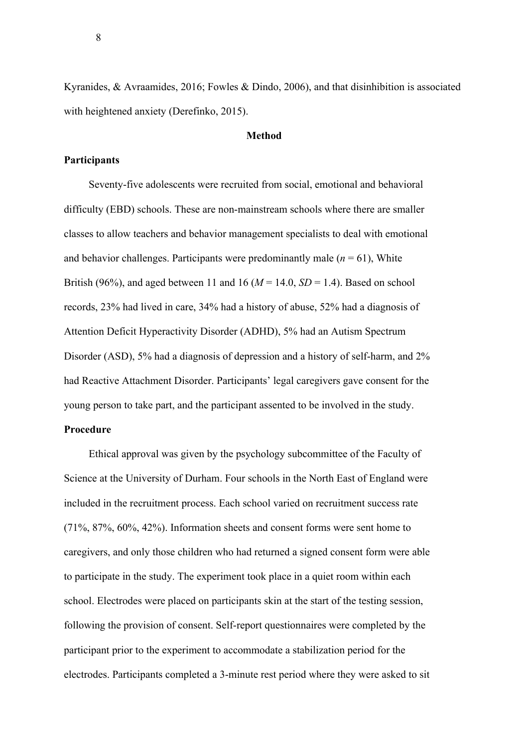Kyranides, & Avraamides, 2016; Fowles & Dindo, 2006), and that disinhibition is associated with heightened anxiety (Derefinko, 2015).

#### **Method**

## **Participants**

Seventy-five adolescents were recruited from social, emotional and behavioral difficulty (EBD) schools. These are non-mainstream schools where there are smaller classes to allow teachers and behavior management specialists to deal with emotional and behavior challenges. Participants were predominantly male  $(n = 61)$ , White British (96%), and aged between 11 and 16 ( $M = 14.0$ ,  $SD = 1.4$ ). Based on school records, 23% had lived in care, 34% had a history of abuse, 52% had a diagnosis of Attention Deficit Hyperactivity Disorder (ADHD), 5% had an Autism Spectrum Disorder (ASD), 5% had a diagnosis of depression and a history of self-harm, and 2% had Reactive Attachment Disorder. Participants' legal caregivers gave consent for the young person to take part, and the participant assented to be involved in the study.

## **Procedure**

Ethical approval was given by the psychology subcommittee of the Faculty of Science at the University of Durham. Four schools in the North East of England were included in the recruitment process. Each school varied on recruitment success rate (71%, 87%, 60%, 42%). Information sheets and consent forms were sent home to caregivers, and only those children who had returned a signed consent form were able to participate in the study. The experiment took place in a quiet room within each school. Electrodes were placed on participants skin at the start of the testing session, following the provision of consent. Self-report questionnaires were completed by the participant prior to the experiment to accommodate a stabilization period for the electrodes. Participants completed a 3-minute rest period where they were asked to sit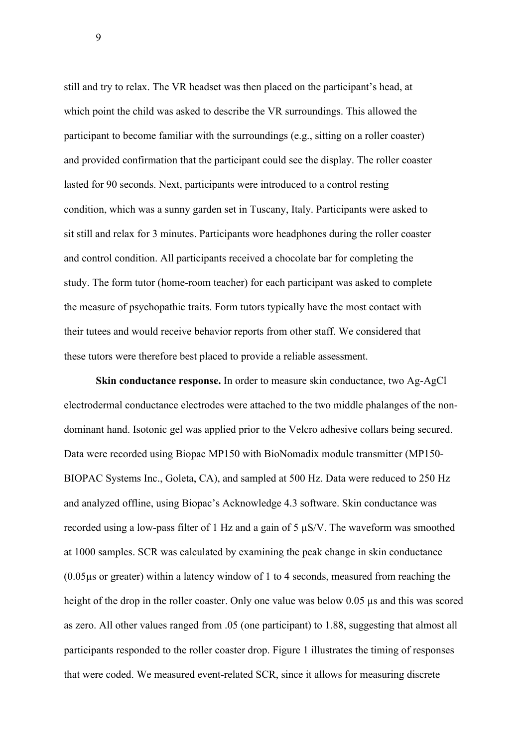still and try to relax. The VR headset was then placed on the participant's head, at which point the child was asked to describe the VR surroundings. This allowed the participant to become familiar with the surroundings (e.g., sitting on a roller coaster) and provided confirmation that the participant could see the display. The roller coaster lasted for 90 seconds. Next, participants were introduced to a control resting condition, which was a sunny garden set in Tuscany, Italy. Participants were asked to sit still and relax for 3 minutes. Participants wore headphones during the roller coaster and control condition. All participants received a chocolate bar for completing the study. The form tutor (home-room teacher) for each participant was asked to complete the measure of psychopathic traits. Form tutors typically have the most contact with their tutees and would receive behavior reports from other staff. We considered that these tutors were therefore best placed to provide a reliable assessment.

**Skin conductance response.** In order to measure skin conductance, two Ag-AgCl electrodermal conductance electrodes were attached to the two middle phalanges of the nondominant hand. Isotonic gel was applied prior to the Velcro adhesive collars being secured. Data were recorded using Biopac MP150 with BioNomadix module transmitter (MP150- BIOPAC Systems Inc., Goleta, CA), and sampled at 500 Hz. Data were reduced to 250 Hz and analyzed offline, using Biopac's Acknowledge 4.3 software. Skin conductance was recorded using a low-pass filter of 1 Hz and a gain of 5  $\mu$ S/V. The waveform was smoothed at 1000 samples. SCR was calculated by examining the peak change in skin conductance (0.05µs or greater) within a latency window of 1 to 4 seconds, measured from reaching the height of the drop in the roller coaster. Only one value was below 0.05  $\mu$ s and this was scored as zero. All other values ranged from .05 (one participant) to 1.88, suggesting that almost all participants responded to the roller coaster drop. Figure 1 illustrates the timing of responses that were coded. We measured event-related SCR, since it allows for measuring discrete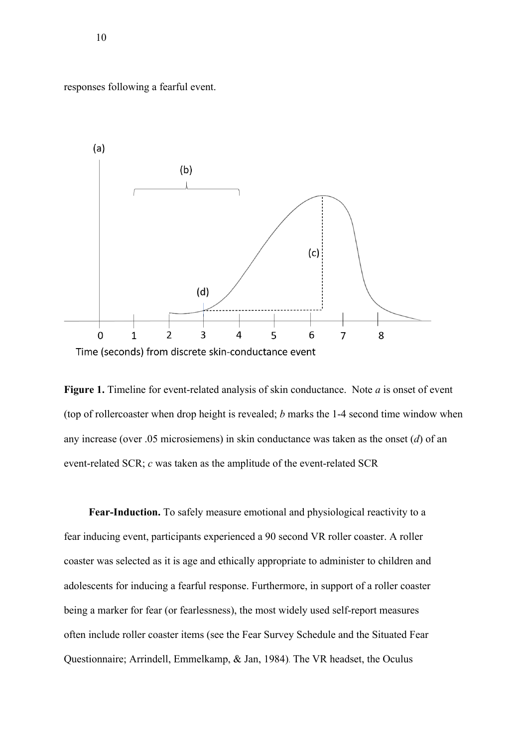responses following a fearful event.





**Figure 1.** Timeline for event-related analysis of skin conductance. Note *a* is onset of event (top of rollercoaster when drop height is revealed; *b* marks the 1-4 second time window when any increase (over .05 microsiemens) in skin conductance was taken as the onset (*d*) of an event-related SCR; *c* was taken as the amplitude of the event-related SCR

**Fear-Induction.** To safely measure emotional and physiological reactivity to a fear inducing event, participants experienced a 90 second VR roller coaster. A roller coaster was selected as it is age and ethically appropriate to administer to children and adolescents for inducing a fearful response. Furthermore, in support of a roller coaster being a marker for fear (or fearlessness), the most widely used self-report measures often include roller coaster items (see the Fear Survey Schedule and the Situated Fear Questionnaire; Arrindell, Emmelkamp, & Jan, 1984). The VR headset, the Oculus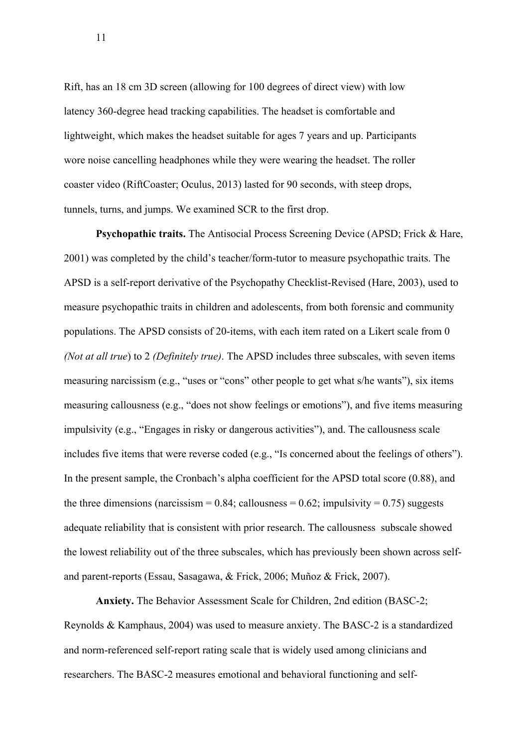Rift, has an 18 cm 3D screen (allowing for 100 degrees of direct view) with low latency 360-degree head tracking capabilities. The headset is comfortable and lightweight, which makes the headset suitable for ages 7 years and up. Participants wore noise cancelling headphones while they were wearing the headset. The roller coaster video (RiftCoaster; Oculus, 2013) lasted for 90 seconds, with steep drops, tunnels, turns, and jumps. We examined SCR to the first drop.

**Psychopathic traits.** The Antisocial Process Screening Device (APSD; Frick & Hare, 2001) was completed by the child's teacher/form-tutor to measure psychopathic traits. The APSD is a self-report derivative of the Psychopathy Checklist-Revised (Hare, 2003), used to measure psychopathic traits in children and adolescents, from both forensic and community populations. The APSD consists of 20-items, with each item rated on a Likert scale from 0 *(Not at all true*) to 2 *(Definitely true)*. The APSD includes three subscales, with seven items measuring narcissism (e.g., "uses or "cons" other people to get what s/he wants"), six items measuring callousness (e.g., "does not show feelings or emotions"), and five items measuring impulsivity (e.g., "Engages in risky or dangerous activities"), and. The callousness scale includes five items that were reverse coded (e.g., "Is concerned about the feelings of others"). In the present sample, the Cronbach's alpha coefficient for the APSD total score (0.88), and the three dimensions (narcissism =  $0.84$ ; callousness =  $0.62$ ; impulsivity =  $0.75$ ) suggests adequate reliability that is consistent with prior research. The callousness subscale showed the lowest reliability out of the three subscales, which has previously been shown across selfand parent-reports (Essau, Sasagawa, & Frick, 2006; Muñoz & Frick, 2007).

**Anxiety.** The Behavior Assessment Scale for Children, 2nd edition (BASC-2; Reynolds & Kamphaus, 2004) was used to measure anxiety. The BASC-2 is a standardized and norm-referenced self-report rating scale that is widely used among clinicians and researchers. The BASC-2 measures emotional and behavioral functioning and self-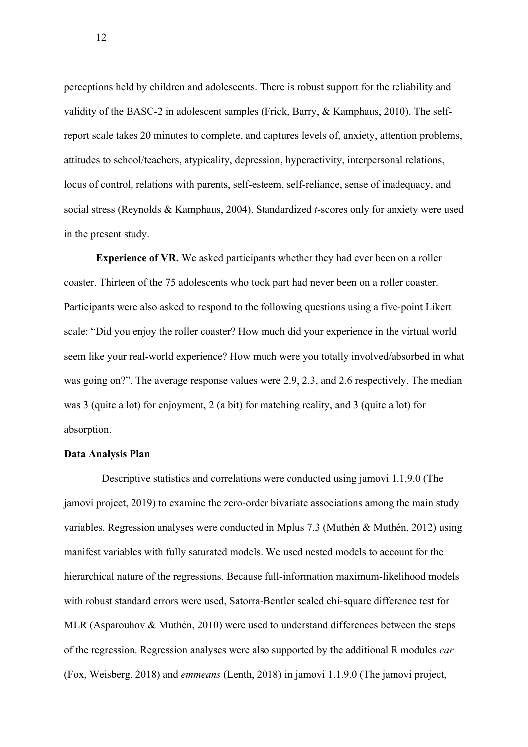perceptions held by children and adolescents. There is robust support for the reliability and validity of the BASC-2 in adolescent samples (Frick, Barry, & Kamphaus, 2010). The selfreport scale takes 20 minutes to complete, and captures levels of, anxiety, attention problems, attitudes to school/teachers, atypicality, depression, hyperactivity, interpersonal relations, locus of control, relations with parents, self-esteem, self-reliance, sense of inadequacy, and social stress (Reynolds & Kamphaus, 2004). Standardized *t*-scores only for anxiety were used in the present study.

**Experience of VR.** We asked participants whether they had ever been on a roller coaster. Thirteen of the 75 adolescents who took part had never been on a roller coaster. Participants were also asked to respond to the following questions using a five-point Likert scale: "Did you enjoy the roller coaster? How much did your experience in the virtual world seem like your real-world experience? How much were you totally involved/absorbed in what was going on?". The average response values were 2.9, 2.3, and 2.6 respectively. The median was 3 (quite a lot) for enjoyment, 2 (a bit) for matching reality, and 3 (quite a lot) for absorption.

### **Data Analysis Plan**

Descriptive statistics and correlations were conducted using jamovi 1.1.9.0 (The jamovi project, 2019) to examine the zero-order bivariate associations among the main study variables. Regression analyses were conducted in Mplus 7.3 (Muthén & Muthén, 2012) using manifest variables with fully saturated models. We used nested models to account for the hierarchical nature of the regressions. Because full-information maximum-likelihood models with robust standard errors were used, Satorra-Bentler scaled chi-square difference test for MLR (Asparouhov & Muthén, 2010) were used to understand differences between the steps of the regression. Regression analyses were also supported by the additional R modules *car*  (Fox, Weisberg, 2018) and *emmeans* (Lenth, 2018) in jamovi 1.1.9.0 (The jamovi project,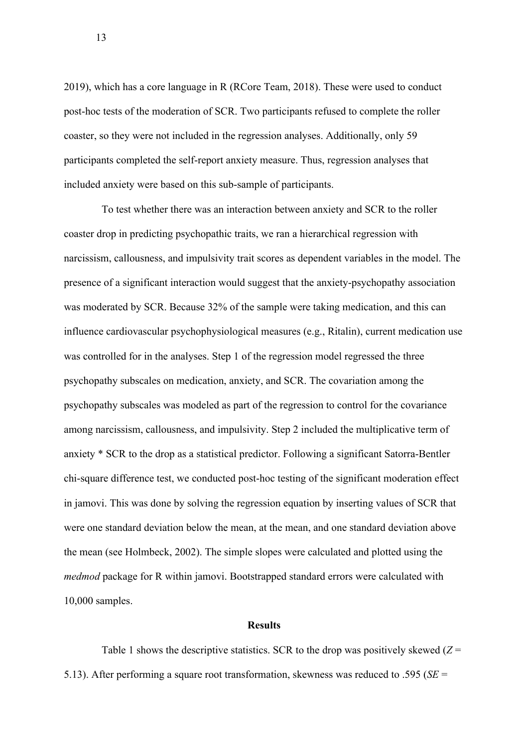2019), which has a core language in R (RCore Team, 2018). These were used to conduct post-hoc tests of the moderation of SCR. Two participants refused to complete the roller coaster, so they were not included in the regression analyses. Additionally, only 59 participants completed the self-report anxiety measure. Thus, regression analyses that included anxiety were based on this sub-sample of participants.

To test whether there was an interaction between anxiety and SCR to the roller coaster drop in predicting psychopathic traits, we ran a hierarchical regression with narcissism, callousness, and impulsivity trait scores as dependent variables in the model. The presence of a significant interaction would suggest that the anxiety-psychopathy association was moderated by SCR. Because 32% of the sample were taking medication, and this can influence cardiovascular psychophysiological measures (e.g., Ritalin), current medication use was controlled for in the analyses. Step 1 of the regression model regressed the three psychopathy subscales on medication, anxiety, and SCR. The covariation among the psychopathy subscales was modeled as part of the regression to control for the covariance among narcissism, callousness, and impulsivity. Step 2 included the multiplicative term of anxiety \* SCR to the drop as a statistical predictor. Following a significant Satorra-Bentler chi-square difference test, we conducted post-hoc testing of the significant moderation effect in jamovi. This was done by solving the regression equation by inserting values of SCR that were one standard deviation below the mean, at the mean, and one standard deviation above the mean (see Holmbeck, 2002). The simple slopes were calculated and plotted using the *medmod* package for R within jamovi. Bootstrapped standard errors were calculated with 10,000 samples.

## **Results**

Table 1 shows the descriptive statistics. SCR to the drop was positively skewed  $(Z =$ 5.13). After performing a square root transformation, skewness was reduced to .595 (*SE* =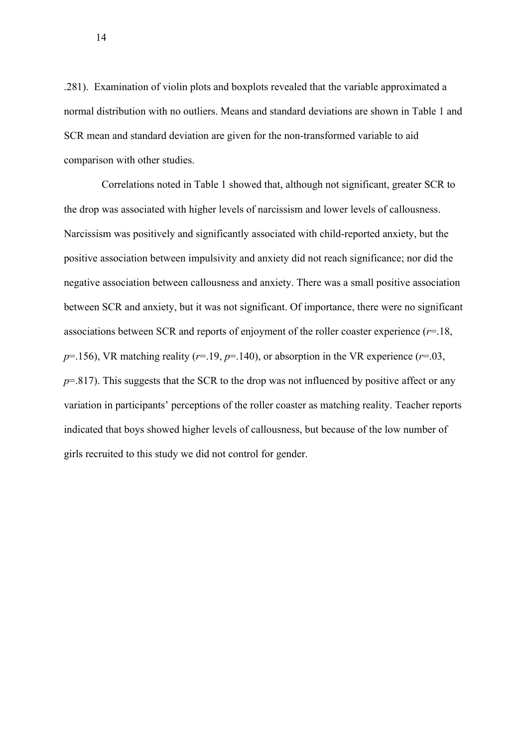.281). Examination of violin plots and boxplots revealed that the variable approximated a normal distribution with no outliers. Means and standard deviations are shown in Table 1 and SCR mean and standard deviation are given for the non-transformed variable to aid comparison with other studies.

Correlations noted in Table 1 showed that, although not significant, greater SCR to the drop was associated with higher levels of narcissism and lower levels of callousness. Narcissism was positively and significantly associated with child-reported anxiety, but the positive association between impulsivity and anxiety did not reach significance; nor did the negative association between callousness and anxiety. There was a small positive association between SCR and anxiety, but it was not significant. Of importance, there were no significant associations between SCR and reports of enjoyment of the roller coaster experience (*r*=.18,  $p=156$ ), VR matching reality ( $r=19$ ,  $p=140$ ), or absorption in the VR experience ( $r=03$ ,  $p=0.817$ ). This suggests that the SCR to the drop was not influenced by positive affect or any variation in participants' perceptions of the roller coaster as matching reality. Teacher reports indicated that boys showed higher levels of callousness, but because of the low number of girls recruited to this study we did not control for gender.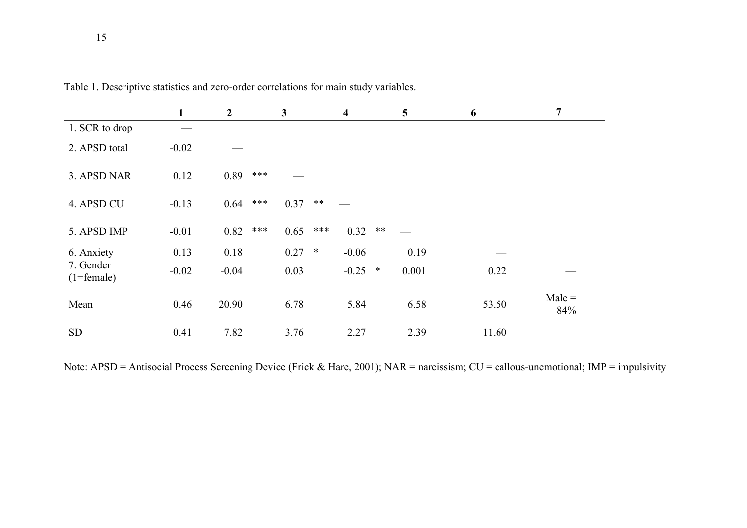|                             | 1       | $\overline{2}$ | $\mathbf{3}$ | $\overline{\mathbf{4}}$ |               | $\overline{5}$ | 6     | 7               |
|-----------------------------|---------|----------------|--------------|-------------------------|---------------|----------------|-------|-----------------|
| 1. SCR to drop              |         |                |              |                         |               |                |       |                 |
| 2. APSD total               | $-0.02$ |                |              |                         |               |                |       |                 |
| 3. APSD NAR                 | 0.12    | 0.89           | $***$        |                         |               |                |       |                 |
| 4. APSD CU                  | $-0.13$ | 0.64           | ***<br>0.37  | $***$                   |               |                |       |                 |
| 5. APSD IMP                 | $-0.01$ | 0.82           | ***<br>0.65  | ***                     | 0.32<br>$***$ |                |       |                 |
| 6. Anxiety                  | 0.13    | 0.18           | $0.27$ *     |                         | $-0.06$       | 0.19           |       |                 |
| 7. Gender<br>$(1 = female)$ | $-0.02$ | $-0.04$        | 0.03         |                         | $-0.25$ *     | 0.001          | 0.22  |                 |
| Mean                        | 0.46    | 20.90          | 6.78         |                         | 5.84          | 6.58           | 53.50 | $Male =$<br>84% |
| <b>SD</b>                   | 0.41    | 7.82           | 3.76         |                         | 2.27          | 2.39           | 11.60 |                 |

Table 1. Descriptive statistics and zero-order correlations for main study variables.

Note: APSD = Antisocial Process Screening Device (Frick & Hare, 2001); NAR = narcissism; CU = callous-unemotional; IMP = impulsivity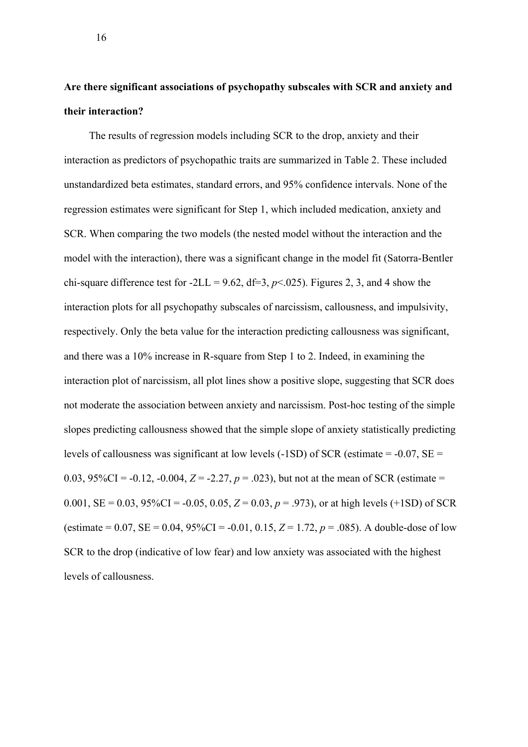## **Are there significant associations of psychopathy subscales with SCR and anxiety and their interaction?**

The results of regression models including SCR to the drop, anxiety and their interaction as predictors of psychopathic traits are summarized in Table 2. These included unstandardized beta estimates, standard errors, and 95% confidence intervals. None of the regression estimates were significant for Step 1, which included medication, anxiety and SCR. When comparing the two models (the nested model without the interaction and the model with the interaction), there was a significant change in the model fit (Satorra-Bentler chi-square difference test for  $-2LL = 9.62$ , df=3,  $p<0.025$ ). Figures 2, 3, and 4 show the interaction plots for all psychopathy subscales of narcissism, callousness, and impulsivity, respectively. Only the beta value for the interaction predicting callousness was significant, and there was a 10% increase in R-square from Step 1 to 2. Indeed, in examining the interaction plot of narcissism, all plot lines show a positive slope, suggesting that SCR does not moderate the association between anxiety and narcissism. Post-hoc testing of the simple slopes predicting callousness showed that the simple slope of anxiety statistically predicting levels of callousness was significant at low levels  $(-1SD)$  of SCR (estimate = -0.07, SE = 0.03,  $95\%CI = -0.12$ ,  $-0.004$ ,  $Z = -2.27$ ,  $p = .023$ ), but not at the mean of SCR (estimate = 0.001,  $SE = 0.03$ ,  $95\%CI = -0.05$ ,  $0.05$ ,  $Z = 0.03$ ,  $p = .973$ ), or at high levels (+1SD) of SCR (estimate = 0.07, SE = 0.04,  $95\%CI = -0.01$ , 0.15,  $Z = 1.72$ ,  $p = .085$ ). A double-dose of low SCR to the drop (indicative of low fear) and low anxiety was associated with the highest levels of callousness.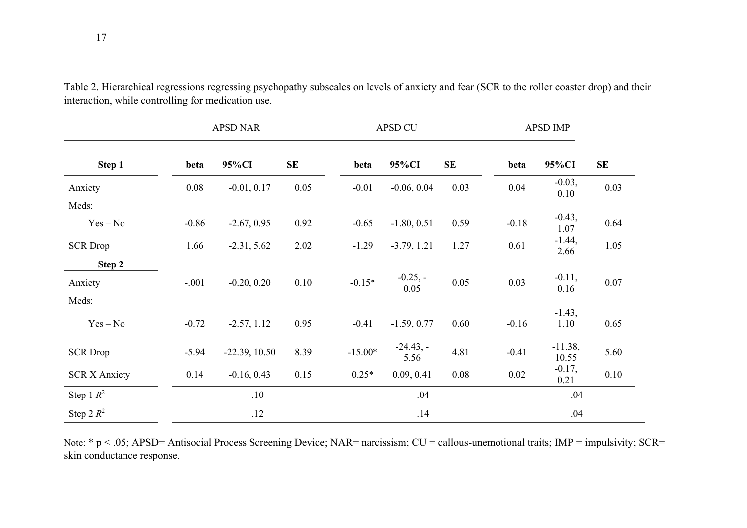|                      | <b>APSD NAR</b> |                 |      |           | <b>APSD CU</b>      |      | <b>APSD IMP</b> |                    |      |
|----------------------|-----------------|-----------------|------|-----------|---------------------|------|-----------------|--------------------|------|
| Step 1               | beta            | 95%CI           | SE   | beta      | 95%CI               | SE   | beta            | 95%CI              | SE   |
| Anxiety              | 0.08            | $-0.01, 0.17$   | 0.05 | $-0.01$   | $-0.06, 0.04$       | 0.03 | 0.04            | $-0.03,$<br>0.10   | 0.03 |
| Meds:                |                 |                 |      |           |                     |      |                 |                    |      |
| $Yes - No$           | $-0.86$         | $-2.67, 0.95$   | 0.92 | $-0.65$   | $-1.80, 0.51$       | 0.59 | $-0.18$         | $-0.43,$<br>1.07   | 0.64 |
| <b>SCR</b> Drop      | 1.66            | $-2.31, 5.62$   | 2.02 | $-1.29$   | $-3.79, 1.21$       | 1.27 | 0.61            | $-1.44,$<br>2.66   | 1.05 |
| Step 2               |                 |                 |      |           |                     |      |                 |                    |      |
| Anxiety              | $-.001$         | $-0.20, 0.20$   | 0.10 | $-0.15*$  | $-0.25, -$<br>0.05  | 0.05 | 0.03            | $-0.11,$<br>0.16   | 0.07 |
| Meds:                |                 |                 |      |           |                     |      |                 |                    |      |
| $Yes - No$           | $-0.72$         | $-2.57, 1.12$   | 0.95 | $-0.41$   | $-1.59, 0.77$       | 0.60 | $-0.16$         | $-1.43,$<br>1.10   | 0.65 |
| <b>SCR</b> Drop      | $-5.94$         | $-22.39, 10.50$ | 8.39 | $-15.00*$ | $-24.43, -$<br>5.56 | 4.81 | $-0.41$         | $-11.38,$<br>10.55 | 5.60 |
| <b>SCR X Anxiety</b> | 0.14            | $-0.16, 0.43$   | 0.15 | $0.25*$   | 0.09, 0.41          | 0.08 | 0.02            | $-0.17,$<br>0.21   | 0.10 |
| Step 1 $R^2$         |                 | .10             |      |           | .04                 |      |                 | .04                |      |
| Step 2 $R^2$         |                 | .12             |      |           | .14                 |      |                 | .04                |      |

Table 2. Hierarchical regressions regressing psychopathy subscales on levels of anxiety and fear (SCR to the roller coaster drop) and their interaction, while controlling for medication use.

Note: \* p < .05; APSD= Antisocial Process Screening Device; NAR= narcissism; CU = callous-unemotional traits; IMP = impulsivity; SCR= skin conductance response.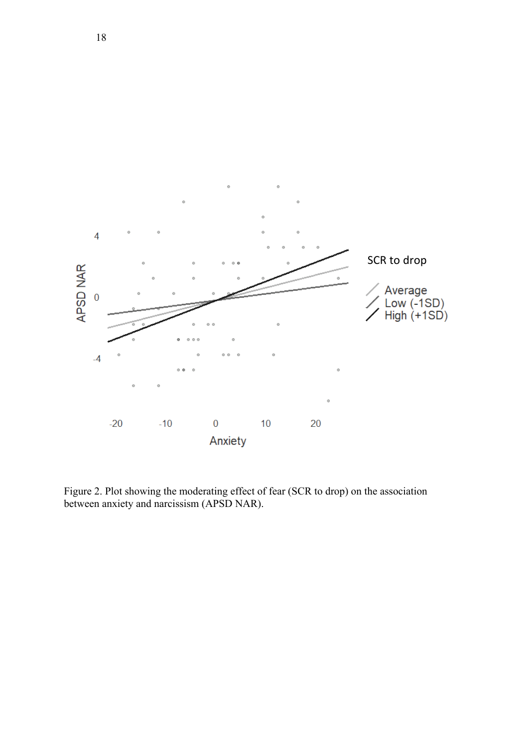

Figure 2. Plot showing the moderating effect of fear (SCR to drop) on the association between anxiety and narcissism (APSD NAR).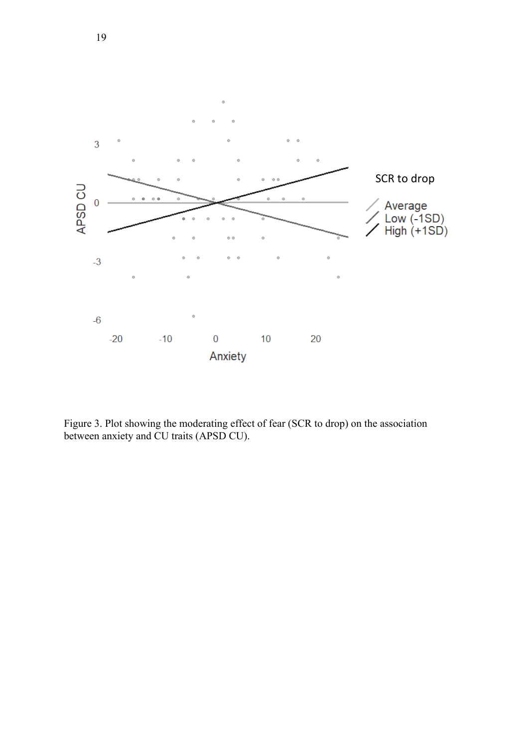

Figure 3. Plot showing the moderating effect of fear (SCR to drop) on the association between anxiety and CU traits (APSD CU).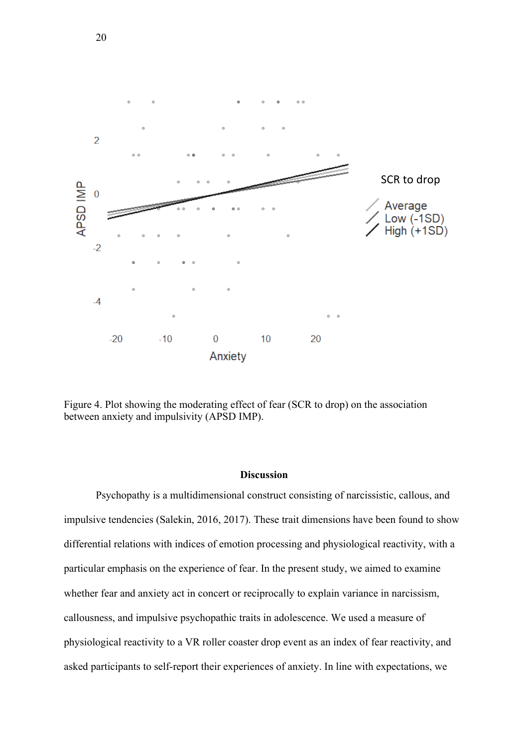

Figure 4. Plot showing the moderating effect of fear (SCR to drop) on the association between anxiety and impulsivity (APSD IMP).

### **Discussion**

Psychopathy is a multidimensional construct consisting of narcissistic, callous, and impulsive tendencies (Salekin, 2016, 2017). These trait dimensions have been found to show differential relations with indices of emotion processing and physiological reactivity, with a particular emphasis on the experience of fear. In the present study, we aimed to examine whether fear and anxiety act in concert or reciprocally to explain variance in narcissism, callousness, and impulsive psychopathic traits in adolescence. We used a measure of physiological reactivity to a VR roller coaster drop event as an index of fear reactivity, and asked participants to self-report their experiences of anxiety. In line with expectations, we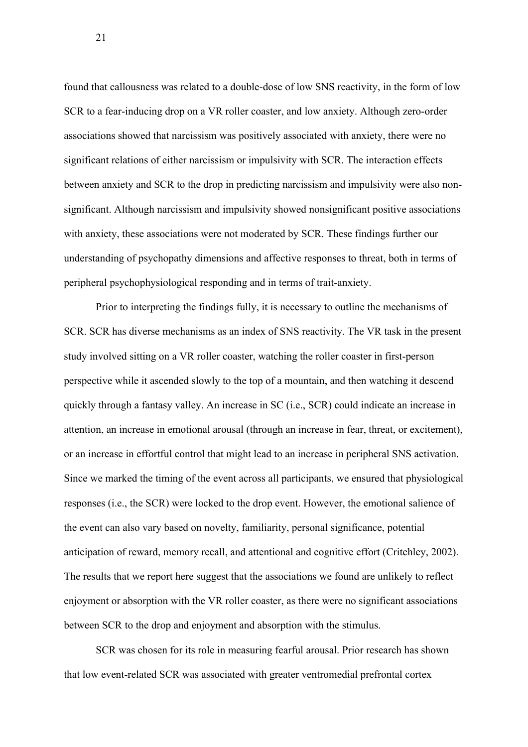found that callousness was related to a double-dose of low SNS reactivity, in the form of low SCR to a fear-inducing drop on a VR roller coaster, and low anxiety. Although zero-order associations showed that narcissism was positively associated with anxiety, there were no significant relations of either narcissism or impulsivity with SCR. The interaction effects between anxiety and SCR to the drop in predicting narcissism and impulsivity were also nonsignificant. Although narcissism and impulsivity showed nonsignificant positive associations with anxiety, these associations were not moderated by SCR. These findings further our understanding of psychopathy dimensions and affective responses to threat, both in terms of peripheral psychophysiological responding and in terms of trait-anxiety.

Prior to interpreting the findings fully, it is necessary to outline the mechanisms of SCR. SCR has diverse mechanisms as an index of SNS reactivity. The VR task in the present study involved sitting on a VR roller coaster, watching the roller coaster in first-person perspective while it ascended slowly to the top of a mountain, and then watching it descend quickly through a fantasy valley. An increase in SC (i.e., SCR) could indicate an increase in attention, an increase in emotional arousal (through an increase in fear, threat, or excitement), or an increase in effortful control that might lead to an increase in peripheral SNS activation. Since we marked the timing of the event across all participants, we ensured that physiological responses (i.e., the SCR) were locked to the drop event. However, the emotional salience of the event can also vary based on novelty, familiarity, personal significance, potential anticipation of reward, memory recall, and attentional and cognitive effort (Critchley, 2002). The results that we report here suggest that the associations we found are unlikely to reflect enjoyment or absorption with the VR roller coaster, as there were no significant associations between SCR to the drop and enjoyment and absorption with the stimulus.

SCR was chosen for its role in measuring fearful arousal. Prior research has shown that low event-related SCR was associated with greater ventromedial prefrontal cortex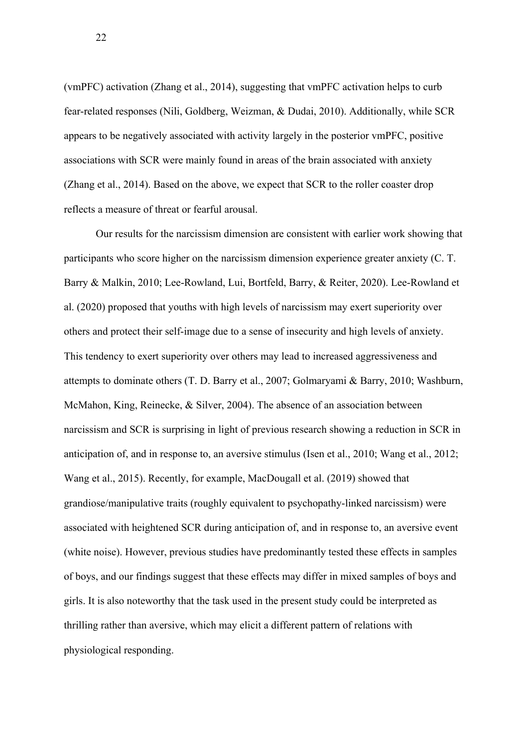(vmPFC) activation (Zhang et al., 2014), suggesting that vmPFC activation helps to curb fear-related responses (Nili, Goldberg, Weizman, & Dudai, 2010). Additionally, while SCR appears to be negatively associated with activity largely in the posterior vmPFC, positive associations with SCR were mainly found in areas of the brain associated with anxiety (Zhang et al., 2014). Based on the above, we expect that SCR to the roller coaster drop reflects a measure of threat or fearful arousal.

Our results for the narcissism dimension are consistent with earlier work showing that participants who score higher on the narcissism dimension experience greater anxiety (C. T. Barry & Malkin, 2010; Lee-Rowland, Lui, Bortfeld, Barry, & Reiter, 2020). Lee-Rowland et al. (2020) proposed that youths with high levels of narcissism may exert superiority over others and protect their self-image due to a sense of insecurity and high levels of anxiety. This tendency to exert superiority over others may lead to increased aggressiveness and attempts to dominate others (T. D. Barry et al., 2007; Golmaryami & Barry, 2010; Washburn, McMahon, King, Reinecke, & Silver, 2004). The absence of an association between narcissism and SCR is surprising in light of previous research showing a reduction in SCR in anticipation of, and in response to, an aversive stimulus (Isen et al., 2010; Wang et al., 2012; Wang et al., 2015). Recently, for example, MacDougall et al. (2019) showed that grandiose/manipulative traits (roughly equivalent to psychopathy-linked narcissism) were associated with heightened SCR during anticipation of, and in response to, an aversive event (white noise). However, previous studies have predominantly tested these effects in samples of boys, and our findings suggest that these effects may differ in mixed samples of boys and girls. It is also noteworthy that the task used in the present study could be interpreted as thrilling rather than aversive, which may elicit a different pattern of relations with physiological responding.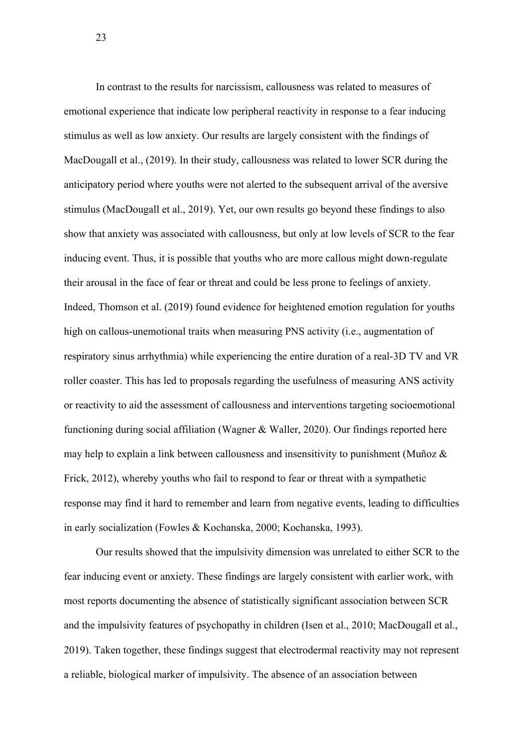In contrast to the results for narcissism, callousness was related to measures of emotional experience that indicate low peripheral reactivity in response to a fear inducing stimulus as well as low anxiety. Our results are largely consistent with the findings of MacDougall et al., (2019). In their study, callousness was related to lower SCR during the anticipatory period where youths were not alerted to the subsequent arrival of the aversive stimulus (MacDougall et al., 2019). Yet, our own results go beyond these findings to also show that anxiety was associated with callousness, but only at low levels of SCR to the fear inducing event. Thus, it is possible that youths who are more callous might down-regulate their arousal in the face of fear or threat and could be less prone to feelings of anxiety. Indeed, Thomson et al. (2019) found evidence for heightened emotion regulation for youths high on callous-unemotional traits when measuring PNS activity (i.e., augmentation of respiratory sinus arrhythmia) while experiencing the entire duration of a real-3D TV and VR roller coaster. This has led to proposals regarding the usefulness of measuring ANS activity or reactivity to aid the assessment of callousness and interventions targeting socioemotional functioning during social affiliation (Wagner & Waller, 2020). Our findings reported here may help to explain a link between callousness and insensitivity to punishment (Muñoz & Frick, 2012), whereby youths who fail to respond to fear or threat with a sympathetic response may find it hard to remember and learn from negative events, leading to difficulties in early socialization (Fowles & Kochanska, 2000; Kochanska, 1993).

Our results showed that the impulsivity dimension was unrelated to either SCR to the fear inducing event or anxiety. These findings are largely consistent with earlier work, with most reports documenting the absence of statistically significant association between SCR and the impulsivity features of psychopathy in children (Isen et al., 2010; MacDougall et al., 2019). Taken together, these findings suggest that electrodermal reactivity may not represent a reliable, biological marker of impulsivity. The absence of an association between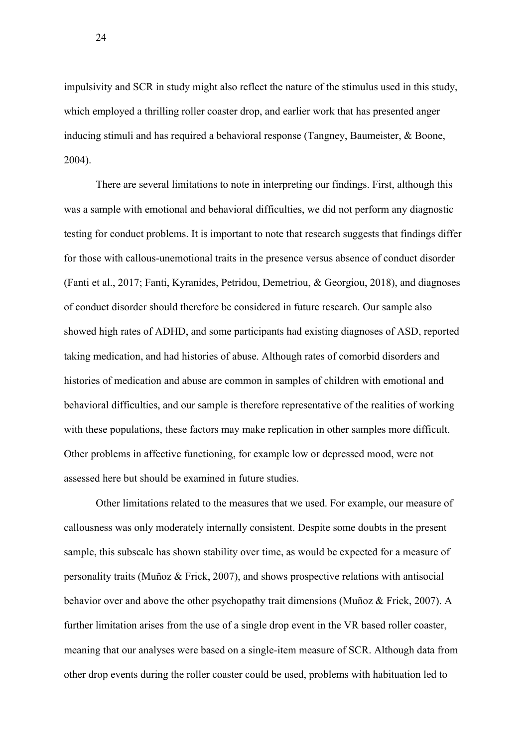impulsivity and SCR in study might also reflect the nature of the stimulus used in this study, which employed a thrilling roller coaster drop, and earlier work that has presented anger inducing stimuli and has required a behavioral response (Tangney, Baumeister, & Boone, 2004).

There are several limitations to note in interpreting our findings. First, although this was a sample with emotional and behavioral difficulties, we did not perform any diagnostic testing for conduct problems. It is important to note that research suggests that findings differ for those with callous-unemotional traits in the presence versus absence of conduct disorder (Fanti et al., 2017; Fanti, Kyranides, Petridou, Demetriou, & Georgiou, 2018), and diagnoses of conduct disorder should therefore be considered in future research. Our sample also showed high rates of ADHD, and some participants had existing diagnoses of ASD, reported taking medication, and had histories of abuse. Although rates of comorbid disorders and histories of medication and abuse are common in samples of children with emotional and behavioral difficulties, and our sample is therefore representative of the realities of working with these populations, these factors may make replication in other samples more difficult. Other problems in affective functioning, for example low or depressed mood, were not assessed here but should be examined in future studies.

Other limitations related to the measures that we used. For example, our measure of callousness was only moderately internally consistent. Despite some doubts in the present sample, this subscale has shown stability over time, as would be expected for a measure of personality traits (Muñoz & Frick, 2007), and shows prospective relations with antisocial behavior over and above the other psychopathy trait dimensions (Muñoz & Frick, 2007). A further limitation arises from the use of a single drop event in the VR based roller coaster, meaning that our analyses were based on a single-item measure of SCR. Although data from other drop events during the roller coaster could be used, problems with habituation led to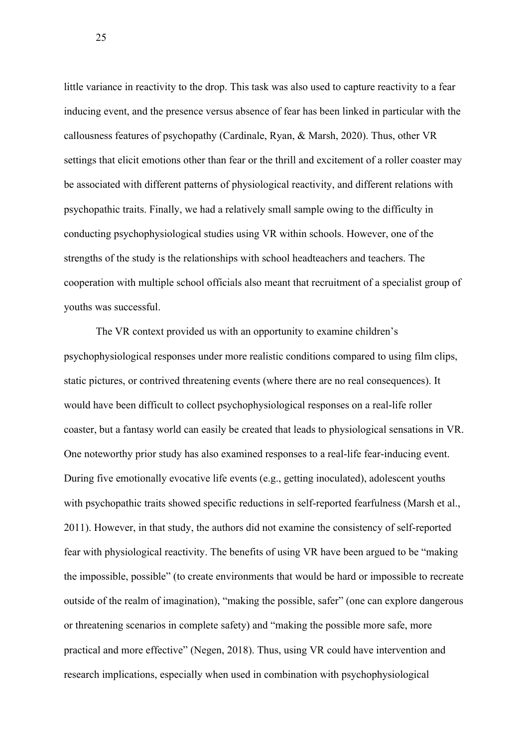little variance in reactivity to the drop. This task was also used to capture reactivity to a fear inducing event, and the presence versus absence of fear has been linked in particular with the callousness features of psychopathy (Cardinale, Ryan, & Marsh, 2020). Thus, other VR settings that elicit emotions other than fear or the thrill and excitement of a roller coaster may be associated with different patterns of physiological reactivity, and different relations with psychopathic traits. Finally, we had a relatively small sample owing to the difficulty in conducting psychophysiological studies using VR within schools. However, one of the strengths of the study is the relationships with school headteachers and teachers. The cooperation with multiple school officials also meant that recruitment of a specialist group of youths was successful.

The VR context provided us with an opportunity to examine children's psychophysiological responses under more realistic conditions compared to using film clips, static pictures, or contrived threatening events (where there are no real consequences). It would have been difficult to collect psychophysiological responses on a real-life roller coaster, but a fantasy world can easily be created that leads to physiological sensations in VR. One noteworthy prior study has also examined responses to a real-life fear-inducing event. During five emotionally evocative life events (e.g., getting inoculated), adolescent youths with psychopathic traits showed specific reductions in self-reported fearfulness (Marsh et al., 2011). However, in that study, the authors did not examine the consistency of self-reported fear with physiological reactivity. The benefits of using VR have been argued to be "making the impossible, possible" (to create environments that would be hard or impossible to recreate outside of the realm of imagination), "making the possible, safer" (one can explore dangerous or threatening scenarios in complete safety) and "making the possible more safe, more practical and more effective" (Negen, 2018). Thus, using VR could have intervention and research implications, especially when used in combination with psychophysiological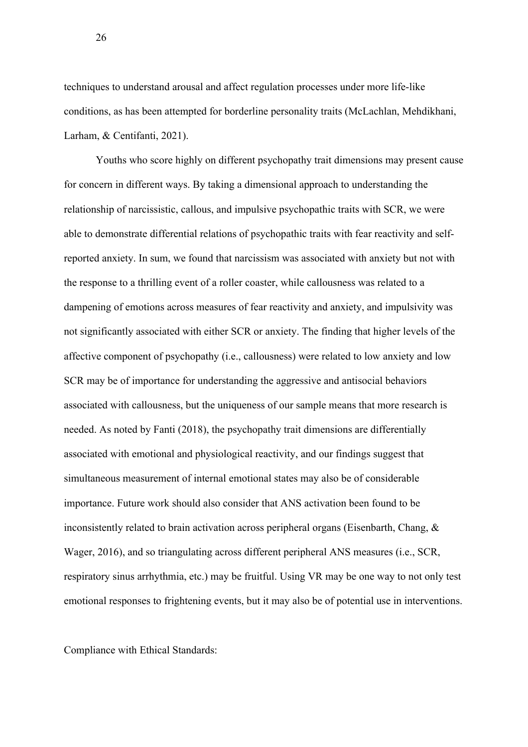techniques to understand arousal and affect regulation processes under more life-like conditions, as has been attempted for borderline personality traits (McLachlan, Mehdikhani, Larham, & Centifanti, 2021).

Youths who score highly on different psychopathy trait dimensions may present cause for concern in different ways. By taking a dimensional approach to understanding the relationship of narcissistic, callous, and impulsive psychopathic traits with SCR, we were able to demonstrate differential relations of psychopathic traits with fear reactivity and selfreported anxiety. In sum, we found that narcissism was associated with anxiety but not with the response to a thrilling event of a roller coaster, while callousness was related to a dampening of emotions across measures of fear reactivity and anxiety, and impulsivity was not significantly associated with either SCR or anxiety. The finding that higher levels of the affective component of psychopathy (i.e., callousness) were related to low anxiety and low SCR may be of importance for understanding the aggressive and antisocial behaviors associated with callousness, but the uniqueness of our sample means that more research is needed. As noted by Fanti (2018), the psychopathy trait dimensions are differentially associated with emotional and physiological reactivity, and our findings suggest that simultaneous measurement of internal emotional states may also be of considerable importance. Future work should also consider that ANS activation been found to be inconsistently related to brain activation across peripheral organs (Eisenbarth, Chang, & Wager, 2016), and so triangulating across different peripheral ANS measures (i.e., SCR, respiratory sinus arrhythmia, etc.) may be fruitful. Using VR may be one way to not only test emotional responses to frightening events, but it may also be of potential use in interventions.

Compliance with Ethical Standards: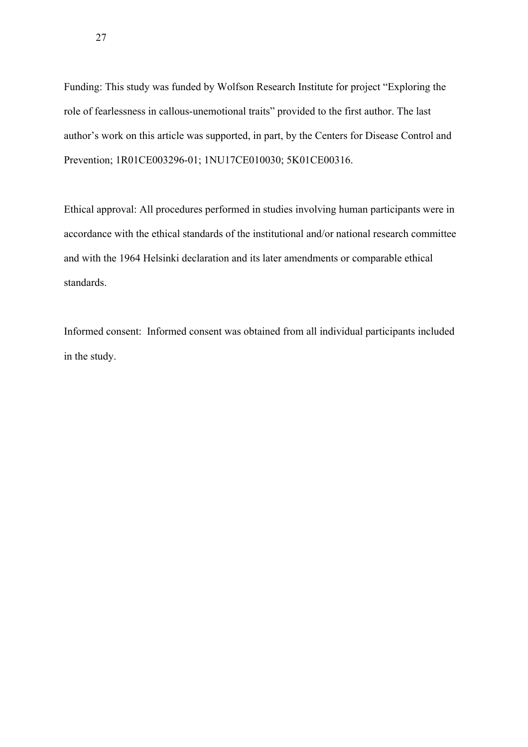Funding: This study was funded by Wolfson Research Institute for project "Exploring the role of fearlessness in callous-unemotional traits" provided to the first author. The last author's work on this article was supported, in part, by the Centers for Disease Control and Prevention; 1R01CE003296-01; 1NU17CE010030; 5K01CE00316.

Ethical approval: All procedures performed in studies involving human participants were in accordance with the ethical standards of the institutional and/or national research committee and with the 1964 Helsinki declaration and its later amendments or comparable ethical standards.

Informed consent: Informed consent was obtained from all individual participants included in the study.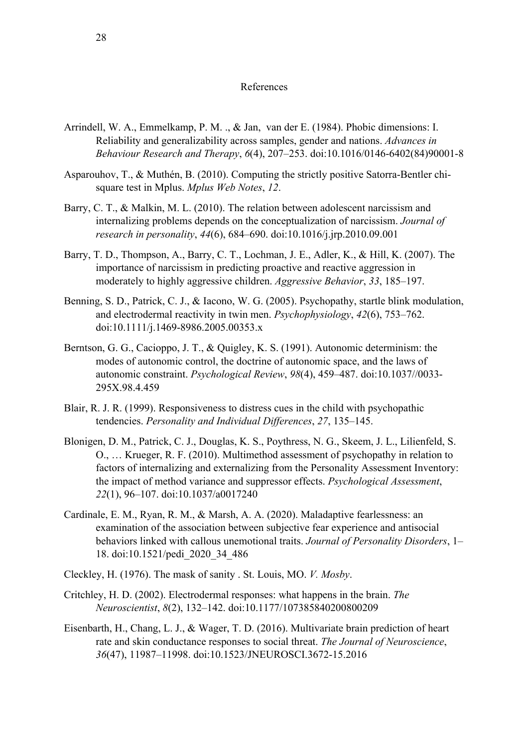#### References

- Arrindell, W. A., Emmelkamp, P. M. ., & Jan, van der E. (1984). Phobic dimensions: I. Reliability and generalizability across samples, gender and nations. *Advances in Behaviour Research and Therapy*, *6*(4), 207–253. doi:10.1016/0146-6402(84)90001-8
- Asparouhov, T., & Muthén, B. (2010). Computing the strictly positive Satorra-Bentler chisquare test in Mplus. *Mplus Web Notes*, *12*.
- Barry, C. T., & Malkin, M. L. (2010). The relation between adolescent narcissism and internalizing problems depends on the conceptualization of narcissism. *Journal of research in personality*, *44*(6), 684–690. doi:10.1016/j.jrp.2010.09.001
- Barry, T. D., Thompson, A., Barry, C. T., Lochman, J. E., Adler, K., & Hill, K. (2007). The importance of narcissism in predicting proactive and reactive aggression in moderately to highly aggressive children. *Aggressive Behavior*, *33*, 185–197.
- Benning, S. D., Patrick, C. J., & Iacono, W. G. (2005). Psychopathy, startle blink modulation, and electrodermal reactivity in twin men. *Psychophysiology*, *42*(6), 753–762. doi:10.1111/j.1469-8986.2005.00353.x
- Berntson, G. G., Cacioppo, J. T., & Quigley, K. S. (1991). Autonomic determinism: the modes of autonomic control, the doctrine of autonomic space, and the laws of autonomic constraint. *Psychological Review*, *98*(4), 459–487. doi:10.1037//0033- 295X.98.4.459
- Blair, R. J. R. (1999). Responsiveness to distress cues in the child with psychopathic tendencies. *Personality and Individual Differences*, *27*, 135–145.
- Blonigen, D. M., Patrick, C. J., Douglas, K. S., Poythress, N. G., Skeem, J. L., Lilienfeld, S. O., … Krueger, R. F. (2010). Multimethod assessment of psychopathy in relation to factors of internalizing and externalizing from the Personality Assessment Inventory: the impact of method variance and suppressor effects. *Psychological Assessment*, *22*(1), 96–107. doi:10.1037/a0017240
- Cardinale, E. M., Ryan, R. M., & Marsh, A. A. (2020). Maladaptive fearlessness: an examination of the association between subjective fear experience and antisocial behaviors linked with callous unemotional traits. *Journal of Personality Disorders*, 1– 18. doi:10.1521/pedi\_2020\_34\_486
- Cleckley, H. (1976). The mask of sanity . St. Louis, MO. *V. Mosby*.
- Critchley, H. D. (2002). Electrodermal responses: what happens in the brain. *The Neuroscientist*, *8*(2), 132–142. doi:10.1177/107385840200800209
- Eisenbarth, H., Chang, L. J., & Wager, T. D. (2016). Multivariate brain prediction of heart rate and skin conductance responses to social threat. *The Journal of Neuroscience*, *36*(47), 11987–11998. doi:10.1523/JNEUROSCI.3672-15.2016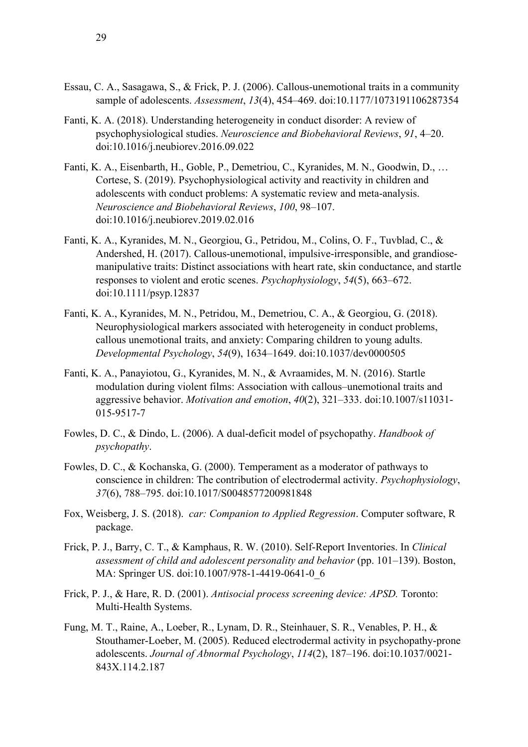- Essau, C. A., Sasagawa, S., & Frick, P. J. (2006). Callous-unemotional traits in a community sample of adolescents. *Assessment*, *13*(4), 454–469. doi:10.1177/1073191106287354
- Fanti, K. A. (2018). Understanding heterogeneity in conduct disorder: A review of psychophysiological studies. *Neuroscience and Biobehavioral Reviews*, *91*, 4–20. doi:10.1016/j.neubiorev.2016.09.022
- Fanti, K. A., Eisenbarth, H., Goble, P., Demetriou, C., Kyranides, M. N., Goodwin, D., … Cortese, S. (2019). Psychophysiological activity and reactivity in children and adolescents with conduct problems: A systematic review and meta-analysis. *Neuroscience and Biobehavioral Reviews*, *100*, 98–107. doi:10.1016/j.neubiorev.2019.02.016
- Fanti, K. A., Kyranides, M. N., Georgiou, G., Petridou, M., Colins, O. F., Tuvblad, C., & Andershed, H. (2017). Callous-unemotional, impulsive-irresponsible, and grandiosemanipulative traits: Distinct associations with heart rate, skin conductance, and startle responses to violent and erotic scenes. *Psychophysiology*, *54*(5), 663–672. doi:10.1111/psyp.12837
- Fanti, K. A., Kyranides, M. N., Petridou, M., Demetriou, C. A., & Georgiou, G. (2018). Neurophysiological markers associated with heterogeneity in conduct problems, callous unemotional traits, and anxiety: Comparing children to young adults. *Developmental Psychology*, *54*(9), 1634–1649. doi:10.1037/dev0000505
- Fanti, K. A., Panayiotou, G., Kyranides, M. N., & Avraamides, M. N. (2016). Startle modulation during violent films: Association with callous–unemotional traits and aggressive behavior. *Motivation and emotion*, *40*(2), 321–333. doi:10.1007/s11031- 015-9517-7
- Fowles, D. C., & Dindo, L. (2006). A dual-deficit model of psychopathy. *Handbook of psychopathy*.
- Fowles, D. C., & Kochanska, G. (2000). Temperament as a moderator of pathways to conscience in children: The contribution of electrodermal activity. *Psychophysiology*, *37*(6), 788–795. doi:10.1017/S0048577200981848
- Fox, Weisberg, J. S. (2018). *car: Companion to Applied Regression*. Computer software, R package.
- Frick, P. J., Barry, C. T., & Kamphaus, R. W. (2010). Self-Report Inventories. In *Clinical assessment of child and adolescent personality and behavior* (pp. 101–139). Boston, MA: Springer US. doi:10.1007/978-1-4419-0641-0\_6
- Frick, P. J., & Hare, R. D. (2001). *Antisocial process screening device: APSD.* Toronto: Multi-Health Systems.
- Fung, M. T., Raine, A., Loeber, R., Lynam, D. R., Steinhauer, S. R., Venables, P. H., & Stouthamer-Loeber, M. (2005). Reduced electrodermal activity in psychopathy-prone adolescents. *Journal of Abnormal Psychology*, *114*(2), 187–196. doi:10.1037/0021- 843X.114.2.187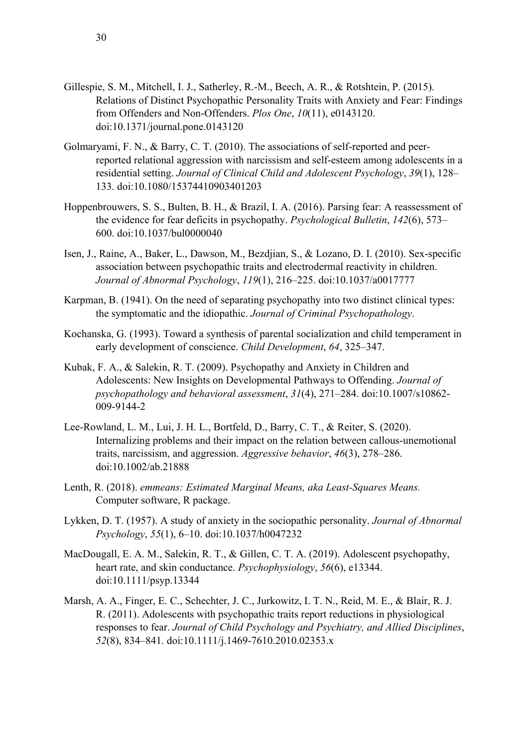- Gillespie, S. M., Mitchell, I. J., Satherley, R.-M., Beech, A. R., & Rotshtein, P. (2015). Relations of Distinct Psychopathic Personality Traits with Anxiety and Fear: Findings from Offenders and Non-Offenders. *Plos One*, *10*(11), e0143120. doi:10.1371/journal.pone.0143120
- Golmaryami, F. N., & Barry, C. T. (2010). The associations of self-reported and peerreported relational aggression with narcissism and self-esteem among adolescents in a residential setting. *Journal of Clinical Child and Adolescent Psychology*, *39*(1), 128– 133. doi:10.1080/15374410903401203
- Hoppenbrouwers, S. S., Bulten, B. H., & Brazil, I. A. (2016). Parsing fear: A reassessment of the evidence for fear deficits in psychopathy. *Psychological Bulletin*, *142*(6), 573– 600. doi:10.1037/bul0000040
- Isen, J., Raine, A., Baker, L., Dawson, M., Bezdjian, S., & Lozano, D. I. (2010). Sex-specific association between psychopathic traits and electrodermal reactivity in children. *Journal of Abnormal Psychology*, *119*(1), 216–225. doi:10.1037/a0017777
- Karpman, B. (1941). On the need of separating psychopathy into two distinct clinical types: the symptomatic and the idiopathic. *Journal of Criminal Psychopathology*.
- Kochanska, G. (1993). Toward a synthesis of parental socialization and child temperament in early development of conscience. *Child Development*, *64*, 325–347.
- Kubak, F. A., & Salekin, R. T. (2009). Psychopathy and Anxiety in Children and Adolescents: New Insights on Developmental Pathways to Offending. *Journal of psychopathology and behavioral assessment*, *31*(4), 271–284. doi:10.1007/s10862- 009-9144-2
- Lee-Rowland, L. M., Lui, J. H. L., Bortfeld, D., Barry, C. T., & Reiter, S. (2020). Internalizing problems and their impact on the relation between callous-unemotional traits, narcissism, and aggression. *Aggressive behavior*, *46*(3), 278–286. doi:10.1002/ab.21888
- Lenth, R. (2018). *emmeans: Estimated Marginal Means, aka Least-Squares Means.* Computer software, R package.
- Lykken, D. T. (1957). A study of anxiety in the sociopathic personality. *Journal of Abnormal Psychology*, *55*(1), 6–10. doi:10.1037/h0047232
- MacDougall, E. A. M., Salekin, R. T., & Gillen, C. T. A. (2019). Adolescent psychopathy, heart rate, and skin conductance. *Psychophysiology*, *56*(6), e13344. doi:10.1111/psyp.13344
- Marsh, A. A., Finger, E. C., Schechter, J. C., Jurkowitz, I. T. N., Reid, M. E., & Blair, R. J. R. (2011). Adolescents with psychopathic traits report reductions in physiological responses to fear. *Journal of Child Psychology and Psychiatry, and Allied Disciplines*, *52*(8), 834–841. doi:10.1111/j.1469-7610.2010.02353.x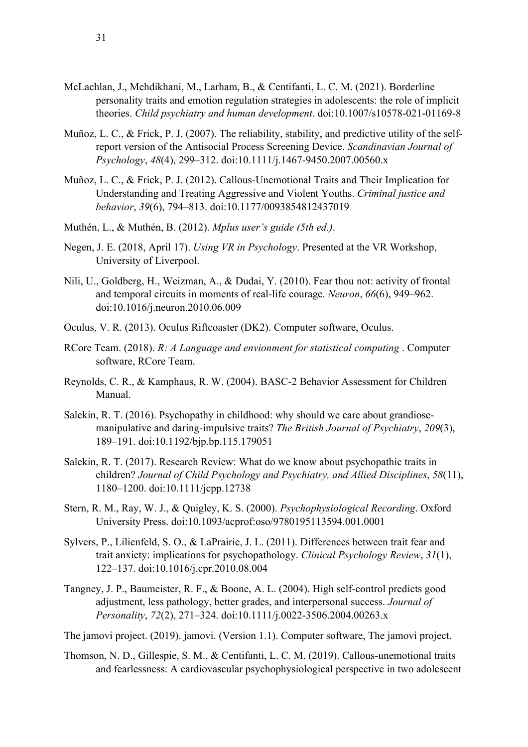- McLachlan, J., Mehdikhani, M., Larham, B., & Centifanti, L. C. M. (2021). Borderline personality traits and emotion regulation strategies in adolescents: the role of implicit theories. *Child psychiatry and human development*. doi:10.1007/s10578-021-01169-8
- Muñoz, L. C., & Frick, P. J. (2007). The reliability, stability, and predictive utility of the selfreport version of the Antisocial Process Screening Device. *Scandinavian Journal of Psychology*, *48*(4), 299–312. doi:10.1111/j.1467-9450.2007.00560.x
- Muñoz, L. C., & Frick, P. J. (2012). Callous-Unemotional Traits and Their Implication for Understanding and Treating Aggressive and Violent Youths. *Criminal justice and behavior*, *39*(6), 794–813. doi:10.1177/0093854812437019
- Muthén, L., & Muthén, B. (2012). *Mplus user's guide (5th ed.)*.
- Negen, J. E. (2018, April 17). *Using VR in Psychology*. Presented at the VR Workshop, University of Liverpool.
- Nili, U., Goldberg, H., Weizman, A., & Dudai, Y. (2010). Fear thou not: activity of frontal and temporal circuits in moments of real-life courage. *Neuron*, *66*(6), 949–962. doi:10.1016/j.neuron.2010.06.009
- Oculus, V. R. (2013). Oculus Riftcoaster (DK2). Computer software, Oculus.
- RCore Team. (2018). *R: A Language and envionment for statistical computing* . Computer software, RCore Team.
- Reynolds, C. R., & Kamphaus, R. W. (2004). BASC-2 Behavior Assessment for Children Manual.
- Salekin, R. T. (2016). Psychopathy in childhood: why should we care about grandiosemanipulative and daring-impulsive traits? *The British Journal of Psychiatry*, *209*(3), 189–191. doi:10.1192/bjp.bp.115.179051
- Salekin, R. T. (2017). Research Review: What do we know about psychopathic traits in children? *Journal of Child Psychology and Psychiatry, and Allied Disciplines*, *58*(11), 1180–1200. doi:10.1111/jcpp.12738
- Stern, R. M., Ray, W. J., & Quigley, K. S. (2000). *Psychophysiological Recording*. Oxford University Press. doi:10.1093/acprof:oso/9780195113594.001.0001
- Sylvers, P., Lilienfeld, S. O., & LaPrairie, J. L. (2011). Differences between trait fear and trait anxiety: implications for psychopathology. *Clinical Psychology Review*, *31*(1), 122–137. doi:10.1016/j.cpr.2010.08.004
- Tangney, J. P., Baumeister, R. F., & Boone, A. L. (2004). High self-control predicts good adjustment, less pathology, better grades, and interpersonal success. *Journal of Personality*, *72*(2), 271–324. doi:10.1111/j.0022-3506.2004.00263.x
- The jamovi project. (2019). jamovi. (Version 1.1). Computer software, The jamovi project.
- Thomson, N. D., Gillespie, S. M., & Centifanti, L. C. M. (2019). Callous-unemotional traits and fearlessness: A cardiovascular psychophysiological perspective in two adolescent